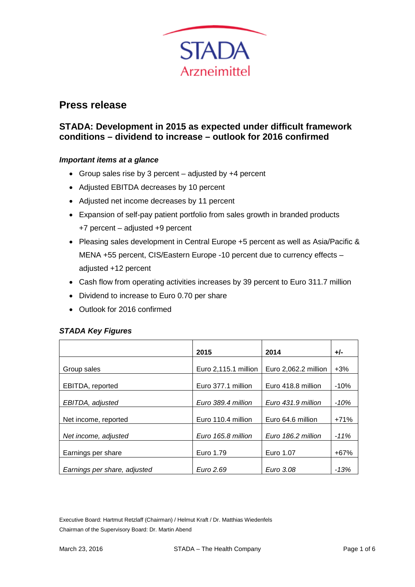

# **Press release**

# **STADA: Development in 2015 as expected under difficult framework conditions – dividend to increase – outlook for 2016 confirmed**

## *Important items at a glance*

- Group sales rise by 3 percent adjusted by +4 percent
- Adjusted EBITDA decreases by 10 percent
- Adjusted net income decreases by 11 percent
- Expansion of self-pay patient portfolio from sales growth in branded products +7 percent – adjusted +9 percent
- Pleasing sales development in Central Europe +5 percent as well as Asia/Pacific & MENA +55 percent, CIS/Eastern Europe -10 percent due to currency effects – adjusted +12 percent
- Cash flow from operating activities increases by 39 percent to Euro 311.7 million
- Dividend to increase to Euro 0.70 per share
- Outlook for 2016 confirmed

## *STADA Key Figures*

|                              | 2015                 | 2014                 | +/-    |
|------------------------------|----------------------|----------------------|--------|
| Group sales                  | Euro 2,115.1 million | Euro 2,062.2 million | $+3%$  |
| EBITDA, reported             | Euro 377.1 million   | Euro 418.8 million   | $-10%$ |
| EBITDA, adjusted             | Euro 389.4 million   | Euro 431.9 million   | $-10%$ |
| Net income, reported         | Euro 110.4 million   | Euro 64.6 million    | $+71%$ |
| Net income, adjusted         | Euro 165.8 million   | Euro 186.2 million   | $-11%$ |
| Earnings per share           | Euro 1.79            | Euro 1.07            | $+67%$ |
| Earnings per share, adjusted | Euro 2.69            | Euro 3.08            | -13%   |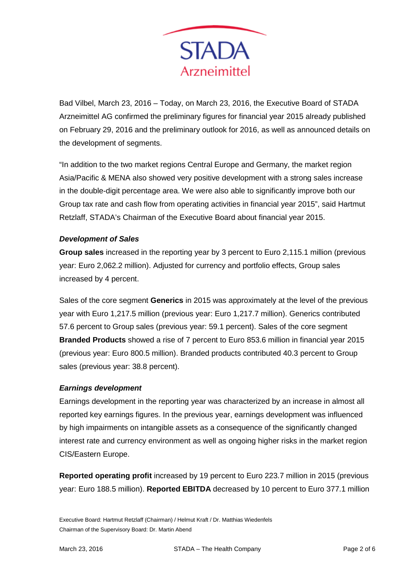

Bad Vilbel, March 23, 2016 – Today, on March 23, 2016, the Executive Board of STADA Arzneimittel AG confirmed the preliminary figures for financial year 2015 already published on February 29, 2016 and the preliminary outlook for 2016, as well as announced details on the development of segments.

"In addition to the two market regions Central Europe and Germany, the market region Asia/Pacific & MENA also showed very positive development with a strong sales increase in the double-digit percentage area. We were also able to significantly improve both our Group tax rate and cash flow from operating activities in financial year 2015", said Hartmut Retzlaff, STADA's Chairman of the Executive Board about financial year 2015.

# *Development of Sales*

**Group sales** increased in the reporting year by 3 percent to Euro 2,115.1 million (previous year: Euro 2,062.2 million). Adjusted for currency and portfolio effects, Group sales increased by 4 percent.

Sales of the core segment **Generics** in 2015 was approximately at the level of the previous year with Euro 1,217.5 million (previous year: Euro 1,217.7 million). Generics contributed 57.6 percent to Group sales (previous year: 59.1 percent). Sales of the core segment **Branded Products** showed a rise of 7 percent to Euro 853.6 million in financial year 2015 (previous year: Euro 800.5 million). Branded products contributed 40.3 percent to Group sales (previous year: 38.8 percent).

## *Earnings development*

Earnings development in the reporting year was characterized by an increase in almost all reported key earnings figures. In the previous year, earnings development was influenced by high impairments on intangible assets as a consequence of the significantly changed interest rate and currency environment as well as ongoing higher risks in the market region CIS/Eastern Europe.

**Reported operating profit** increased by 19 percent to Euro 223.7 million in 2015 (previous year: Euro 188.5 million). **Reported EBITDA** decreased by 10 percent to Euro 377.1 million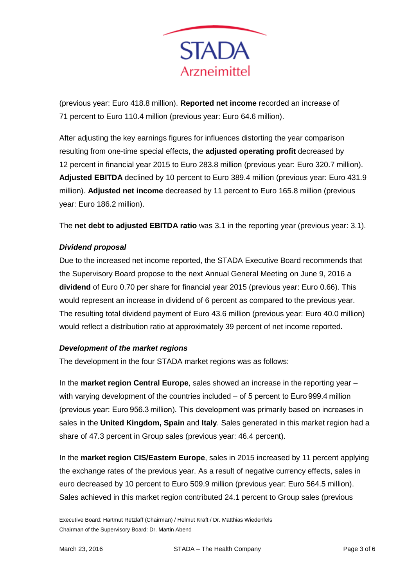

(previous year: Euro 418.8 million). **Reported net income** recorded an increase of 71 percent to Euro 110.4 million (previous year: Euro 64.6 million).

After adjusting the key earnings figures for influences distorting the year comparison resulting from one-time special effects, the **adjusted operating profit** decreased by 12 percent in financial year 2015 to Euro 283.8 million (previous year: Euro 320.7 million). **Adjusted EBITDA** declined by 10 percent to Euro 389.4 million (previous year: Euro 431.9 million). **Adjusted net income** decreased by 11 percent to Euro 165.8 million (previous year: Euro 186.2 million).

The **net debt to adjusted EBITDA ratio** was 3.1 in the reporting year (previous year: 3.1).

# *Dividend proposal*

Due to the increased net income reported, the STADA Executive Board recommends that the Supervisory Board propose to the next Annual General Meeting on June 9, 2016 a **dividend** of Euro 0.70 per share for financial year 2015 (previous year: Euro 0.66). This would represent an increase in dividend of 6 percent as compared to the previous year. The resulting total dividend payment of Euro 43.6 million (previous year: Euro 40.0 million) would reflect a distribution ratio at approximately 39 percent of net income reported.

## *Development of the market regions*

The development in the four STADA market regions was as follows:

In the **market region Central Europe**, sales showed an increase in the reporting year – with varying development of the countries included – of 5 percent to Euro 999.4 million (previous year: Euro 956.3 million). This development was primarily based on increases in sales in the **United Kingdom, Spain** and **Italy**. Sales generated in this market region had a share of 47.3 percent in Group sales (previous year: 46.4 percent).

In the **market region CIS/Eastern Europe**, sales in 2015 increased by 11 percent applying the exchange rates of the previous year. As a result of negative currency effects, sales in euro decreased by 10 percent to Euro 509.9 million (previous year: Euro 564.5 million). Sales achieved in this market region contributed 24.1 percent to Group sales (previous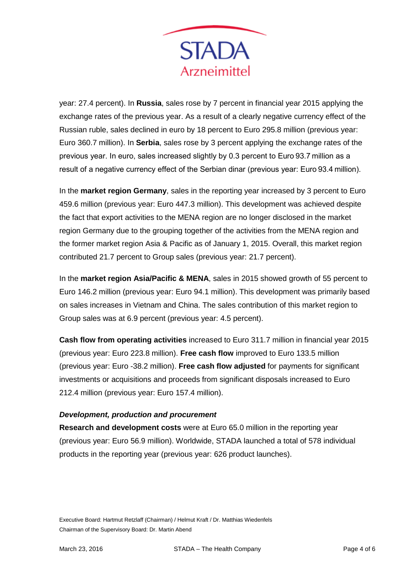

year: 27.4 percent). In **Russia**, sales rose by 7 percent in financial year 2015 applying the exchange rates of the previous year. As a result of a clearly negative currency effect of the Russian ruble, sales declined in euro by 18 percent to Euro 295.8 million (previous year: Euro 360.7 million). In **Serbia**, sales rose by 3 percent applying the exchange rates of the previous year. In euro, sales increased slightly by 0.3 percent to Euro 93.7 million as a result of a negative currency effect of the Serbian dinar (previous year: Euro 93.4 million).

In the **market region Germany**, sales in the reporting year increased by 3 percent to Euro 459.6 million (previous year: Euro 447.3 million). This development was achieved despite the fact that export activities to the MENA region are no longer disclosed in the market region Germany due to the grouping together of the activities from the MENA region and the former market region Asia & Pacific as of January 1, 2015. Overall, this market region contributed 21.7 percent to Group sales (previous year: 21.7 percent).

In the **market region Asia/Pacific & MENA**, sales in 2015 showed growth of 55 percent to Euro 146.2 million (previous year: Euro 94.1 million). This development was primarily based on sales increases in Vietnam and China. The sales contribution of this market region to Group sales was at 6.9 percent (previous year: 4.5 percent).

**Cash flow from operating activities** increased to Euro 311.7 million in financial year 2015 (previous year: Euro 223.8 million). **Free cash flow** improved to Euro 133.5 million (previous year: Euro -38.2 million). **Free cash flow adjusted** for payments for significant investments or acquisitions and proceeds from significant disposals increased to Euro 212.4 million (previous year: Euro 157.4 million).

## *Development, production and procurement*

**Research and development costs** were at Euro 65.0 million in the reporting year (previous year: Euro 56.9 million). Worldwide, STADA launched a total of 578 individual products in the reporting year (previous year: 626 product launches).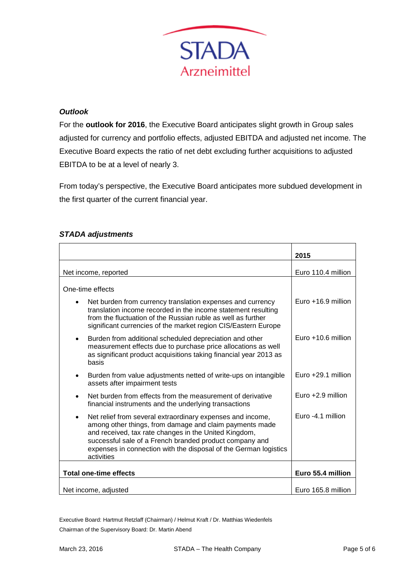

# *Outlook*

For the **outlook for 2016**, the Executive Board anticipates slight growth in Group sales adjusted for currency and portfolio effects, adjusted EBITDA and adjusted net income. The Executive Board expects the ratio of net debt excluding further acquisitions to adjusted EBITDA to be at a level of nearly 3.

From today's perspective, the Executive Board anticipates more subdued development in the first quarter of the current financial year.

# *STADA adjustments*

|                               |                                                                                                                                                                                                                                                                                                                             | 2015                 |
|-------------------------------|-----------------------------------------------------------------------------------------------------------------------------------------------------------------------------------------------------------------------------------------------------------------------------------------------------------------------------|----------------------|
|                               |                                                                                                                                                                                                                                                                                                                             |                      |
| Net income, reported          |                                                                                                                                                                                                                                                                                                                             | Euro 110.4 million   |
|                               | One-time effects                                                                                                                                                                                                                                                                                                            |                      |
| $\bullet$                     | Net burden from currency translation expenses and currency<br>translation income recorded in the income statement resulting<br>from the fluctuation of the Russian ruble as well as further<br>significant currencies of the market region CIS/Eastern Europe                                                               | Euro $+16.9$ million |
| ٠                             | Burden from additional scheduled depreciation and other<br>measurement effects due to purchase price allocations as well<br>as significant product acquisitions taking financial year 2013 as<br>basis                                                                                                                      | Euro $+10.6$ million |
| ٠                             | Burden from value adjustments netted of write-ups on intangible<br>assets after impairment tests                                                                                                                                                                                                                            | Euro +29.1 million   |
| $\bullet$                     | Net burden from effects from the measurement of derivative<br>financial instruments and the underlying transactions                                                                                                                                                                                                         | Euro +2.9 million    |
| ٠                             | Net relief from several extraordinary expenses and income,<br>among other things, from damage and claim payments made<br>and received, tax rate changes in the United Kingdom,<br>successful sale of a French branded product company and<br>expenses in connection with the disposal of the German logistics<br>activities | Euro -4.1 million    |
| <b>Total one-time effects</b> |                                                                                                                                                                                                                                                                                                                             | Euro 55.4 million    |
|                               | Net income, adjusted                                                                                                                                                                                                                                                                                                        | Euro 165.8 million   |